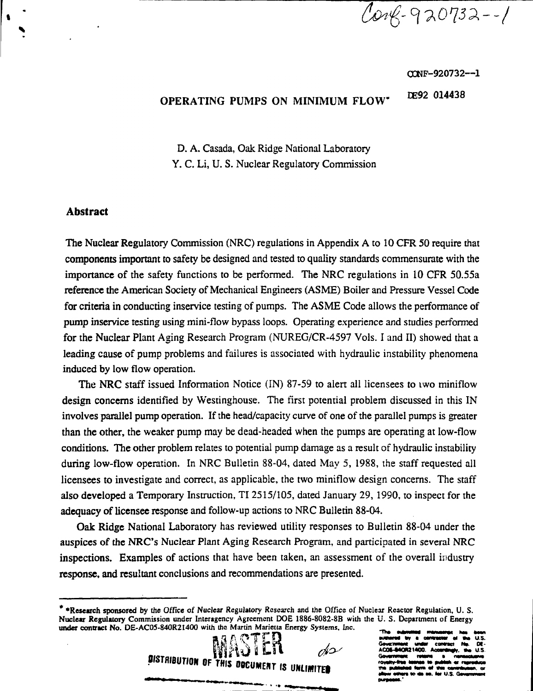Carg-920732--1

O0NF-92O732--1

# EE92 014438 **OPERATING PUMPS ON MINIMUM FLOW"**

**D.** A. Casada, Oak Ridge National Laboratory Y. C. Li, U. S. Nuclear Regulatory Commission

#### **Abstract**

The Nuclear Regulatory Commission (NRC) regulations in Appendix A to 10 CFR 50 require that components important to safety be designed and tested to quality standards commensurate with the importance of the safety functions to be performed. The NRC regulations in 10 CFR 50.55a reference the American Society of Mechanical Engineers (ASME) Boiler and Pressure Vessel Code for criteria in conducting inservice testing of pumps. The ASME Code allows the performance of pump inservice testing using mini-flow bypass loops. Operating experience and studies performed for the Nuclear Plant Aging Research Program (NUREG/CR-4597 Vols. I and II) showed that a leading cause of pump problems and failures is associated with hydraulic instability phenomena induced by low flow operation.

The NRC staff issued Information Notice (IN) 87-59 to alert all licensees to two miniflow design concerns identified by Westinghouse. The first potential problem discussed in this IN involves parallel pump operation. If the head/capacity curve of one of the parallel pumps is greater than the other, the weaker pump may be dead-headed when the pumps are operating at low-flow conditions. The other problem relates to potential pump damage as a result of hydraulic instability during low-flow operation. In NRC Bulletin 88-04, dated May 5, 1988, the staff requested all licensees to investigate and correct, as applicable, the two miniflow design concerns. The staff also developed a Temporary Instruction, TI 2515/105, dated January 29, 1990, to inspect for the adequacy of licensee response and follow-up actions to NRC Bulletin 88-04.

Oak Ridge National Laboratory has reviewed utility responses to Bulletin 88-04 under the auspices of the NRC's Nuclear Plant Aging Research Program, and participated in several NRC inspections. Examples of actions that have been taken, an assessment of the overall industry response, and resultant conclusions and recommendations are presented.

**<sup>\* &#</sup>x27;Research sponsored** by the Office of Nuclear Regulatory Research and the Office of Nuclear Reactor Regulation. U. S. **Nuclear Regulatory** Commission under Interagency Agreement DOE 1886-8082-8B with the U. S. **Department** of Energy **under contract No.** DE-AC05-840R21400 with the Martin Marietta Energy Systems. Inc.



DF. 840921400.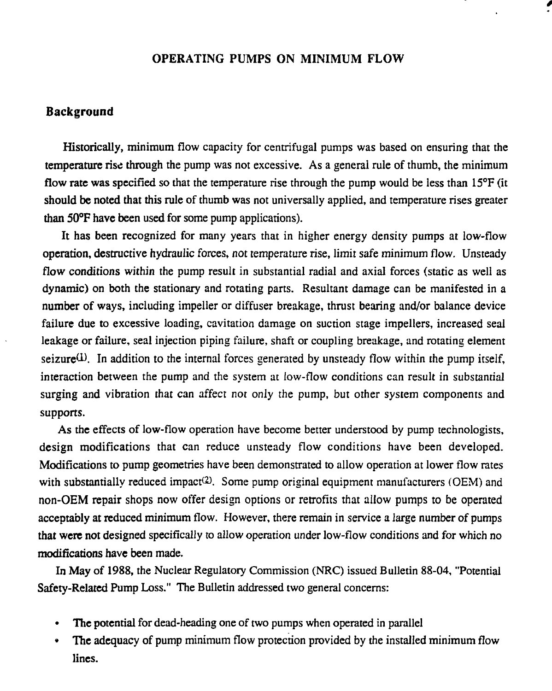#### OPERATING PUMPS ON MINIMUM FLOW

#### **Background**

Historically, minimum flow capacity for centrifugal pumps was based on ensuring that the temperature rise through the pump was not excessive. As a general rule of thumb, the minimum flow rate was specified so that the temperature rise through the pump would be less than  $15^{\circ}$ F (it should be noted that this rule of thumb was not universally applied, and temperature rises greater than 50°F have been used for some pump applications).

It has been recognized for many years that in higher energy density pumps at low-flow operation, destructive hydraulic forces, not temperature rise, limit safe minimum flow. Unsteady flow conditions within the pump result in substantial radial and axial forces (static as well as dynamic) on both the stationary and rotating parts. Resultant damage can be manifested in a number of ways, including impeller or diffuser breakage, thrust bearing and/or balance device failure due to excessive loading, cavitation damage on suction stage impellers, increased seal leakage or failure, seal injection piping failure, shaft or coupling breakage, and rotating element seizure $(1)$ . In addition to the internal forces generated by unsteady flow within the pump itself, interaction between the pump and the system at low-flow conditions can result in substantial surging and vibration that can affect not only the pump, but other system componems and supports.

As the effects of low-flow operation have become better understood by pump technologists, design modifications that can reduce unsteady flow conditions have been developed. Modifications to pump geometries have been demonstrated to allow operation at lower flow rates with substantially reduced impact<sup>(2)</sup>. Some pump original equipment manufacturers (OEM) and non-OEM repair shops now offer design options or retrofits that allow pumps to be operated acceptably at reduced minimum flow. However, there remain in service a large number of pumps that were not designed specifically to allow operation under low-flow conditions and for which no modifications have been made.

In May of 1988, the Nuclear Regulatory Commission (NRC) issued Bulletin 88-04, "Potential Safety-Related Pump Loss." The Bulletin addressed two general concerns:

- The potential for dead-heading one of two pumps when operated in parallel
- The adequacy of pump minimum flow protection provided by the installed minimum flow lines.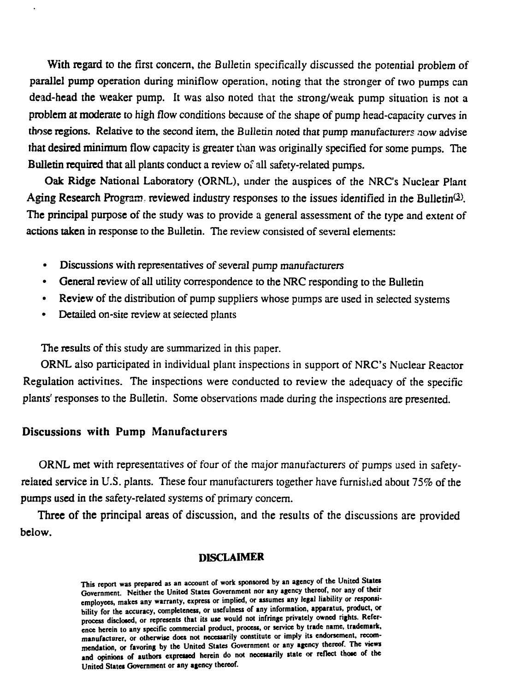**With regard** to the first concern, the Bulletin specifically discussed the potential problem of **parallel pump** operation during minifiow operation, noting that the stronger of two pumps can **dead-head the weaker pump.** It was also noted that the strong/weak pump situation is not a **problem at moderate to** high flow conditions because of the shape of pump head-capacity curves in **those regions. Relative** to the second item, the Bulletin noted that pump manufacturers now advise **that desired minimum** flow capacity is greater than was originally specified for some pumps. The **Bulletin required** that all plants conduct a review of all safety-related pumps.

**Oak Ridge** National Laboratory (ORNL), under the auspices of the NRC's Nuclear Plant Aging Research Program, reviewed industry responses to the issues identified in the Bulletin<sup>(2)</sup>. **The** principal purpose of the study was to provide a general assessment of the type and extent of **actions taken** in response to the Bulletin. The review consisted of several elements:

- Discussions with representatives of several pump manufacturers
- • **General** review of all utility correspondence to the NRC responding to the Bulletin
- • **Review** of the distribution of pump suppliers whose pumps are used in selected systems
- Detailed on-site review at selected plants

The results of this study are summarized in this paper.

ORNL also participated in individual plant inspections in support of NRC's Nuclear Reactor Regulation activities. The inspections were conducted to review the adequacy of the specific plants' responses to the Bulletin. Some observations made during the inspections are presented.

## **Discussions with Pump Manufacturers**

ORNL met with representatives of four of the major manufacturers of pumps used in safetyrelated service in U.S. plants. These four manufacturers together have furnished about 75% of the **pumps used** in **the** safety-related systems of primary concern.

**Three** of **the** principal areas of discussion, and the results of the discussions are provided **below.**

#### **DISCLAIMER**

**This report was prepared as an account of work sponsored by an agency of the United States Government. Neither the United States Government nor any agency thereof, nor any of their employees, makes any warranty, express or implied, or assumes any legal liability or responsibility for the accuracy, completeness, or usefulness of any information, apparatus, product, or process disclosed, or represents that its use would not infringe privately owned rights. Reference herein to any specific commercial product, process, or service by trade name, trademark, manufacturer, or otherwise does not necessarily constitute or imply its endorsement, recommendation, or favoring by the United States Government or any agency thereof. The views** and opinions of authors expressed herein do not necessarily state or reflect those of the **United States Government or any agency thereof.**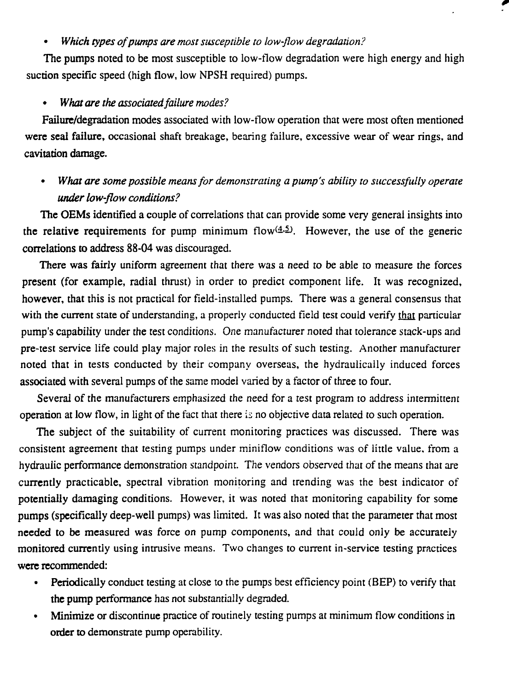#### • *Which types of pumps are most susceptible to low-flow degradation?*

The pumps noted to be most susceptible to low-flow degradation were high energy and high suction specific speed (high flow, low NPSH required) pumps.

#### • *What are the associated failure modes?*

Failure/degradation modes associated with low-flow operation that were most often mentioned were seal failure, occasional shaft breakage, bearing failure, excessive wear of wear rings, and cavitation damage.

• *What are some possible means for demonstrating a pump's ability to successfully operate under low-flow conditions?*

The OEMs identified a couple of correlations that can provide some very general insights into the relative requirements for pump minimum flow $(4.5)$ . However, the use of the generic correlations to address 88-04 was discouraged.

There was fairly uniform agreement that there was a need to be able to measure the forces present (for example, radial thrust) in order to predict component life. It was recognized, however, that this is not practical for field-installed pumps. There was a general consensus that with the current state of understanding, a properly conducted field test could verify that particular pump's capability under the test conditions. *One* manufacturer noted that tolerance stack-ups and pre-test service life could play major roles in the results of such testing. Another manufacturer noted that in tests conducted by their company overseas, the hydraulically induced forces associated with several pumps of the same model varied by a factor of three to four.

Several of the manufacturers emphasized the need for a *test* program to address intermittent operation at low flow, in light of the fact that there is no objective data related to such operation.

The subject of the suitability of current monitoring practices was discussed. There was consistent agreement that testing pumps under miniflow conditions was of little value, from a hydraulic performance demonstration standpoint. The vendors observed that of the means that are currently practicable, spectral vibration monitoring and trending was the best indicator of potentially damaging conditions. However, it was noted that monitoring capability for some pumps (specifically deep-well pumps) was limited. It was also noted that the parameter that most needed to be measured was force on pump components, and that could only be accurately monitored currently using intrusive means. Two changes to current in-service testing practices were recommended:

- Periodically conduct testing at close to the pumps best efficiency point (BEP) to verify that the pump performance has not substantially degraded.
- Minimize or discontinue practice of routinely testing pumps at minimum flow conditions in order to demonstrate pump operability.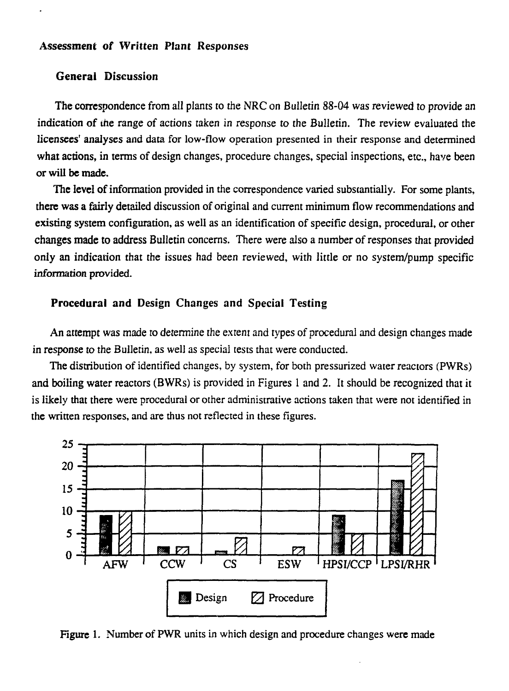#### **Assessment of Written Plant Responses**

#### **General Discussion**

**The correspondence from** all plants to the NRC on Bulletin 88-04 was reviewed to provide an indication **of** the range of actions taken in response to the Bulletin. The review evaluated the **licensees' analyses** and data for low-flow operation presented in their response and determined **what actions, in** terms of design changes, procedure changes, special inspections, etc., have been **or will be made.**

**The level of** information provided in the correspondence varied substantially. For some plants, **there was a fairly detailed** discussion of original and current minimum flow recommendations and existing system configuration, as well as an identification of specific design, procedural, or other **changes made to** address Bulletin concerns. There were also **a** number of responses that provided **only an indication** that the issues had been reviewed, with little or no system/pump specific information provided.

#### **Procedural and Design Changes and Special Testing**

**An attempt was** made to determine the extent and types of procedural and design changes made in response to the Bulletin, as well as special tests that were conducted.

The distribution of identified changes, by system, for both pressurized water reactors (PWRs) **and boiling water** reactors (BWRs) is provided in Figures 1 and 2. It should be recognized that it is likely that there were procedural or other administrative actions taken that were not identified in the written responses, and are thus not reflected in these figures.



**Figure 1.** Number of **PWR** units in which design and procedure changes were made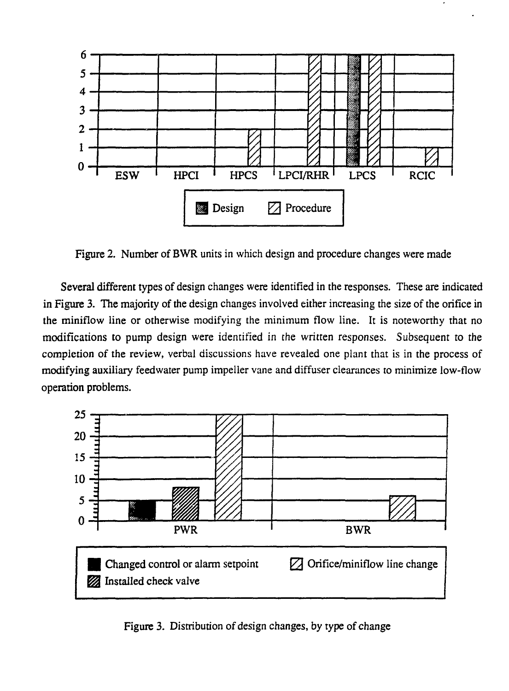

Figure 2. Number of BWR units in which design and procedure changes were made

Several different types of design changes were identified in the responses. These are indicated in Figure 3. The majority of the design changes involved either increasing the size of the orifice in the miniflow line or otherwise modifying the minimum flow line. It is noteworthy that no modifications to pump design were identified in the written responses. Subsequent to the completion of the review, verbal discussions have revealed one plant that is in the process of modifying auxiliary feedwater pump impeller vane and diffuser clearances to minimize low-flow operation problems.



Figure 3. Distribution of design changes, by type of change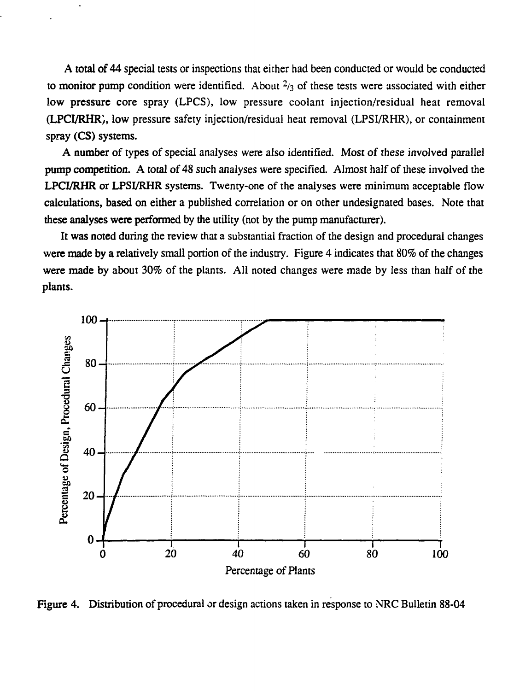**A total of 44** special tests or inspections that either had been conducted or would be conducted to **monitor** pump condition were identified. About <sup>2</sup>/3 of these tests were associated with either low **pressure core** spray (LPCS), low pressure coolant injection/residual heat removal **(LPCVRHR),** low pressure safety injection/residual heat removal (LPSI/RHR), or containment spray **(CS)** systems.

**A number of** types of special analyses were also identified. Most of these involved parallel **pump competition.** A **total** of 48 such analyses were specified. Almost half of these involved the **LPCI/RHR or LPSI/RHR** systems. Twenty-one of the analyses were minimum acceptable flow **calculations, based on either a** published correlation or on other undesignated bases. Note that **these analyses were performed** by the utility (not by the pump manufacturer).

It **was** noted during the review that a substantial fraction of the design and procedural changes **were made by a** relatively small portion of the industry. Figure 4 indicates that 80% of the changes **were made** by about 30% of the plants. All noted changes were made by less than half of the plants.



**Figure 4. Distribution** of procedural or design actions taken in response to NRC Bulletin 88-04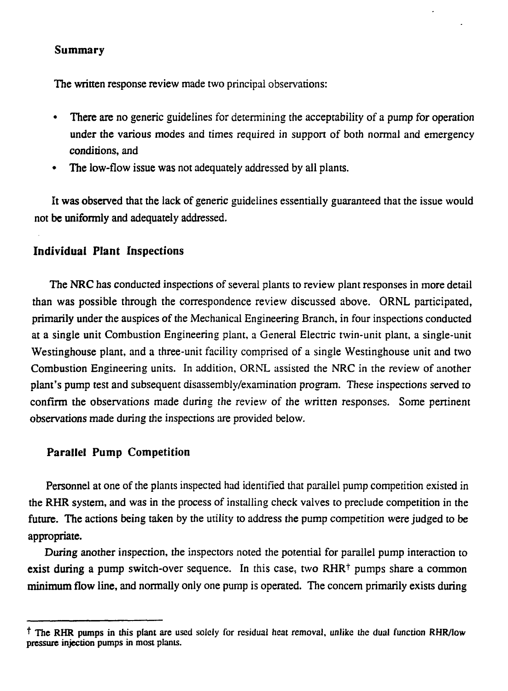#### **Summary**

**The written** response review made two principal observations:

- • **There** are no generic guidelines for determining the acceptability of a pump for operation **under the** various modes and times required in support of both normal and emergency conditions, and
- The low-flow issue was not adequately addressed by all plants.

**It was observed** that the lack of generic guidelines essentially guaranteed that the issue would **not be uniformly** and adequately addressed.

## **Individual Plant Inspections**

The **NRC** has conducted inspections of several plants to review plant responses in more detail than was possible through the correspondence review discussed above. ORNL participated, primarily under the auspices of the Mechanical Engineering Branch, in four inspections conducted at a single unit Combustion Engineering plant, a General Electric twin-unit plant, a single-unit Westinghouse plant, and a three-unit facility comprised of a single Westinghouse unit and two Combustion Engineering units. In addition, ORNL assisted the NRC in the review of another plant's pump test and subsequent disassembly/examination program. These inspections served to confirm the observations made during the review of the written responses. Some pertinent observations made during the inspections are provided below.

## **Parallel Pump Competition**

Personnel at one of the plants inspected had identified that parallel pump competition existed in the RHR system, and was in the process of installing check valves to preclude competition in the **future. The** actions being taken by the utility to address the pump competition were judged to be **appropriate.**

**During** another inspection, the inspectors noted the potential for parallel pump interaction to **exist during a pump switch-over sequence.** In this case, two RHR<sup>+</sup> pumps share a common **minimum flow** line, and normally only one pump is operated. The concern primarily exists during

<sup>&</sup>lt;sup>†</sup> The RHR pumps in this plant are used solely for residual heat removal, unlike the dual function RHR/low **pressure injection pumps in most plants.**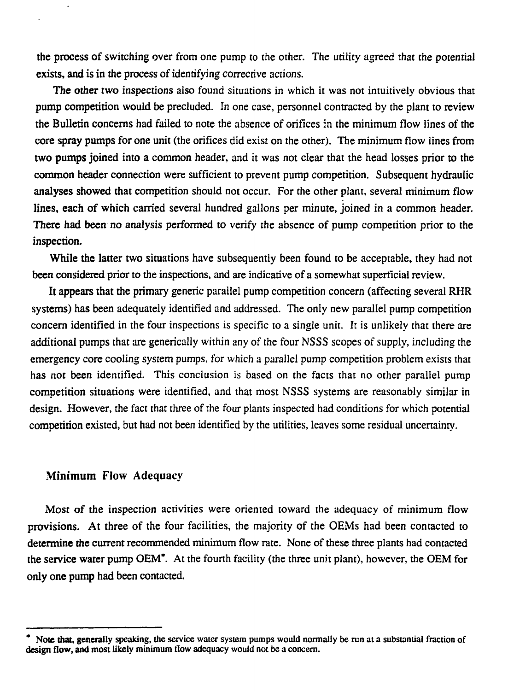the process of switching over from one pump to the other. The utility agreed that the potential exists, and is in the process of identifying corrective actions.

**The other** two inspections also found situations in which it was not intuitively obvious that **pump** competition would be precluded. In one case, personnel contracted by the plant to review **the Bulletin** concerns had failed to note the absence of orifices in the minimum flow lines of the core spray pumps for one unit (the orifices did exist on the other). The minimum flow lines from **two pumps** joined into a common header, and it was not clear that the head losses prior to the common header connection were sufficient to prevent pump competition. Subsequent hydraulic analyses showed that competition should not occur. For the other plant, several minimum flow **lines,** each of which carried several hundred gallons per minute, joined in a common header. **There had been** no analysis performed to verify the absence of pump competition prior to the inspection.

While **the** latter two situations have subsequently been found to be acceptable, they had not been considered prior to the inspections, and are indicative of a somewhat superficial review.

It **appears** that the primary generic parallel pump competition concern (affecting several RHR systems) has been adequately identified and addressed. The only new parallel pump competition concern identified in the four inspections is specific to a single unit. It is unlikely that there are additional pumps that are generically within any of the four NSSS scopes of supply, including the emergency core cooling system pumps, for which a parallel pump competition problem exists that has not been identified. This conclusion is based on the facts that no other parallel pump competition situations were identified, and that most NSSS systems are reasonably similar in design. However, the fact that three of the four plants inspected had conditions for which potential competition existed, but had not been identified by the utilities, leaves some residual uncertainty.

#### **Minimum Flow** Adequacy

Most of the inspection activities were oriented toward the adequacy of minimum flow provisions. At three of the four facilities, the majority of the OEMs had been contacted to **determine the** current recommended minimum flow rate. None of these three plants had contacted the service water pump OEM\*. At the fourth facility (the three unit plant), however, the OEM for only one **pump** had been contacted.

Note that, generally speaking, the service water system pumps would normally be run at a substantial fraction of **design flow, and** most likely minimum flow adequacy would not be a concern.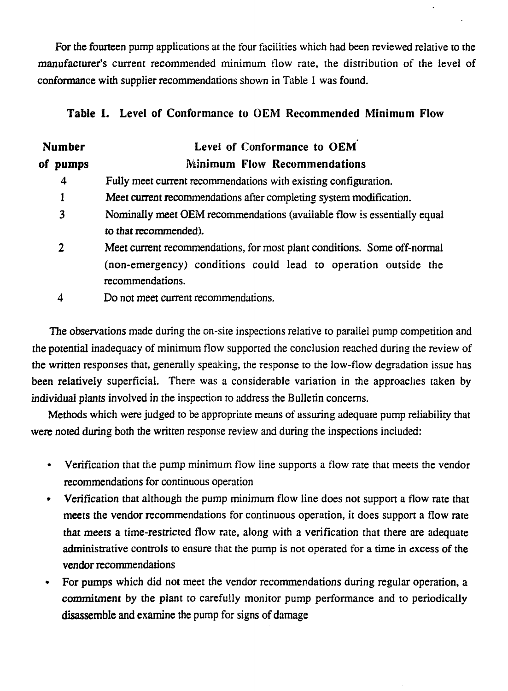For the fourteen pump applications at the four facilities which had been reviewed relative to the manufacturer's current recommended minimum flow rate, the distribution of the level of conformance with supplier recommendations shown in Table 1 was found.

## **Table 1.** Level **of** Conformance to OEM Recommended Minimum Flow

| <b>Number</b> | Level of Conformance to OEM                                                        |  |
|---------------|------------------------------------------------------------------------------------|--|
| οf<br>pumps   | <b>Minimum Flow Recommendations</b>                                                |  |
| 4             | Fully meet current recommendations with existing configuration.                    |  |
| 1             | Meet current recommendations after completing system modification.                 |  |
| 3             | Nominally meet OEM recommendations (available flow is essentially equal            |  |
|               | to that recommended).                                                              |  |
| 2             | Meet current recommendations, for most plant conditions. Some off-normal           |  |
|               | (non-emergency) conditions could lead to operation outside the<br>recommendations. |  |
|               | Do not meet current recommendations.                                               |  |

The observations made during the on-site inspections relative to parallel pump competition and the potential inadequacy of minimum flow supported the conclusion reached during the review of the written responses that, generally speaking, the response to the low-flow degradation issue has been relatively superficial. There was a considerable variation in the approaches taken by individual plants involved in the inspection to address the Bulletin concerns.

Methods which were judged to be appropriate means of assuring adequate pump reliability that were noted during both the written response review and during the inspections included:

- Verification that the pump minimum flow line supports a flow rate that meets the vendor recommendations for continuous operation
- Verification that although the pump minimum flow line does not support a flow rate that meets the vendor recommendations for continuous operation, it does support a flow rate that meets a time-restricted flow rate, along with a verification that there are adequate administrative controls to ensure that the pump is not operated for a time in excess of the vendor recommendations
- For pumps which did not meet the vendor recommendations during regular operation, a commitment by the plant to carefully monitor pump performance and to periodically disassemble and examine the pump for signs of damage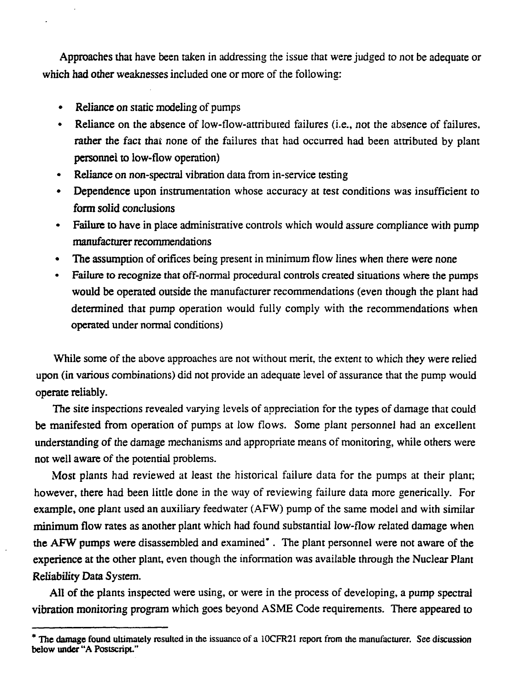Approaches that have been taken in addressing the issue that were judged to not be adequate or **which had other** weaknesses included one or more of the following:

- • **Reliance** on static modeling of pumps
- Reliance on the absence of low-flow-attributed failures (i.e., not the absence of failures, **rather the** fact thai none of ihe failures that had occurred had been attributed by plant **personnel to** low-flow operation)
- Reliance on non-spectral vibration data from in-service testing
- • **Dependence** upon instrumentation whose accuracy at test conditions was insufficient to **form solid** conclusions
- **Failure to** have in place administrative controls which would assure compliance with pump **manufacturer** recommendations
- The assumption of orifices being present in minimum flow lines when there were none
- Failure to recognize that off-normal procedural controls created situations where the pumps **would** be operated outside the manufacturer recommendations (even though the plant had determined that pump operation would fully comply with the recommendations when operated under normal conditions)

While some of the above approaches are not without merit, the extent to which they were relied upon (in various combinations) did not provide an adequate level of assurance that the pump would operate reliably.

The site inspections revealed varying levels of appreciation for the types of damage that could be manifested from operation of pumps at low flows. Some plant personnel had an excellent understanding of the damage mechanisms and appropriate means of monitoring, while others were not well aware of the potential problems.

Most plants had reviewed at least the historical failure data for the pumps at their plant; however, there had been little done in the way of reviewing failure data more generically. For example, one plant used an auxiliary feedwater (AFW) pump of the same model and with similar **minimum flow** rates as another plant which had found substantial low-flow related damage when **the AFW** pumps were disassembled and examined" . The plant personnel were not aware of the **experience at the** other plant, even though the information was available through the Nuclear Plant **Reliability Data** System.

**AH** of **the** plants inspected were using, or were in the process of developing, a pump spectral **vibration** monitoring program which goes beyond ASME Code requirements. There appeared to

**<sup>\*</sup> The damage found** ultimately resulted in the issuance of a 10CFR21 report from the manufacturer. See discussion below **under** "A Postscript."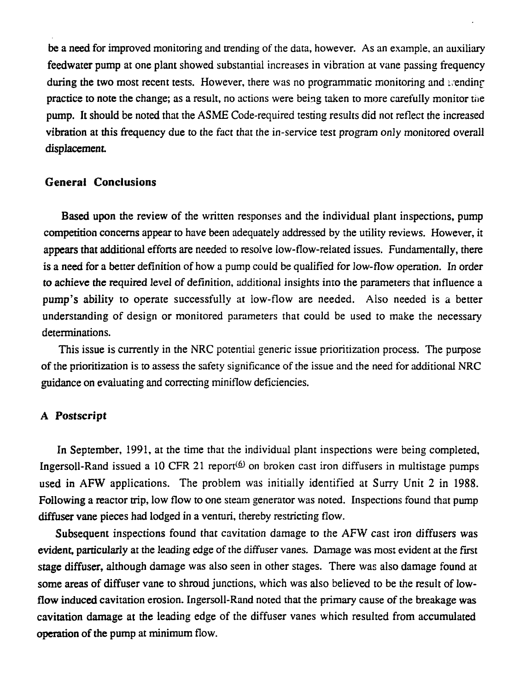be a need for improved monitoring and trending of the data, however. As an example, an auxiliary feedwater pump at one plant showed substantial increases in vibration at vane passing frequency during the two most recent tests. However, there was no programmatic monitoring and  $\alpha$ practice to note the change; as a result, no actions were being taken to more carefully monitor the pump. It should be noted that the ASME Code-required testing results did not reflect the increased vibration at this frequency due to the fact that the in-service test program only monitored overall **displacement.**

#### **General Conclusions**

**Based upon** the review of the written responses and the individual plant inspections, pump competition concerns appear to have been adequately addressed by the utility reviews. However, it appears that additional efforts are needed to resolve low-flow-related issues. Fundamentally, there is a need for a better definition of how a pump could be qualified for low-flow operation. In order to achieve the required level of definition, additional insights into the parameters that influence a pump's ability to operate successfully at low-flow are needed. Also needed is a better understanding of design or monitored parameters that could be used to make the necessary determinations.

This issue is currently in the NRC potential generic issue prioritization process. The purpose of the prioritization is to assess the safety significance of the issue and the need for additional NRC guidance on evaluating and correcting miniflow deficiencies.

#### **A Postscript**

In September, 1991, at the time that the individual plant inspections were being completed, Ingersoll-Rand issued a 10 CFR 21 report<sup>( $\Phi$ )</sup> on broken cast iron diffusers in multistage pumps used in AFW applications. The problem was initially identified at Surry Unit 2 in 1988. Following a reactor trip, low flow to one steam generator was noted. Inspections found that pump diffuser vane pieces had lodged in a venturi, thereby restricting flow.

Subsequent inspections found that cavitation damage to the AFW cast iron diffusers was evident, particularly at the leading edge of the diffuser vanes. Damage was most evident at the first stage diffuser, although damage was also seen in other stages. There was also damage found at some areas of diffuser vane to shroud junctions, which was also believed to be the result of lowflow induced cavitation erosion. Ingersoll-Rand noted that the primary cause of the breakage was cavitation damage at the leading edge of the diffuser vanes which resulted from accumulated **operation of the** pump at minimum flow.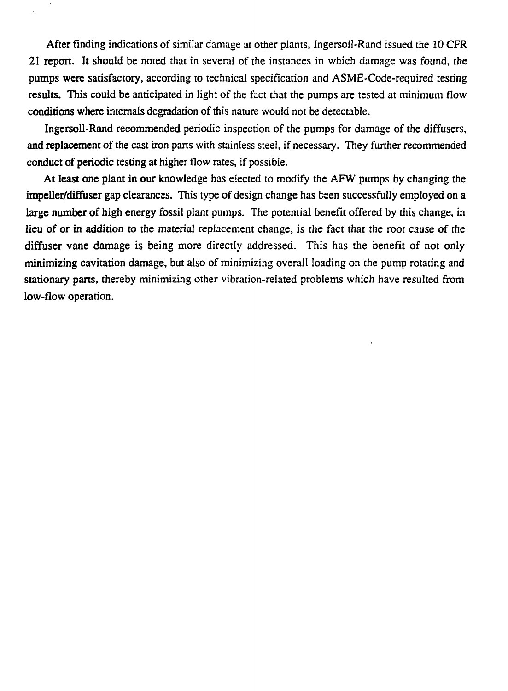**After** finding indications of similar damage at other plants, Ingersoll-Rand issued the 10 **CFR 21 report. It** should be noted that in several of the instances in which damage was found, the pumps were satisfactory, according to technical specification and ASME-Code-required testing **results. This could be** anticipated in light of the fact that the pumps are tested at minimum flow **conditions where** internals degradation of this nature would not be detectable.

**Ingersoll-Rand** recommended periodic inspection of the pumps for damage of the diffusers, **and replacement** of the cast iron parts with stainless steei, if necessary. They further recommended **conduct of periodic** testing **at** higher flow rates, if possible.

**At least one plant in our** knowledge has elected to modify the AFW pumps by changing the **impeller/diffuser** gap clearances. This type of design change has been successfully employed on a **large number of high energy** fossil plant pumps. The potential benefit offered by this change, in **lieu of or in addition to the** material replacement change, is the fact that the root cause of the **diffuser vane** damage is being more directly addressed. This has the benefit of not only **minimizing** cavitation damage, but also of minimizing overall loading on the pump rotating and stationary parts, thereby minimizing other vibration-related problems which have resulted from low-flow operation.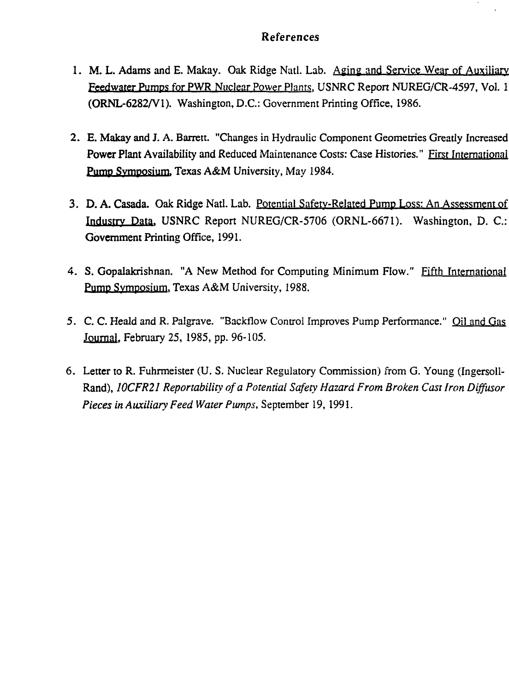### References

- 1. M. L. Adams and E. Makay. Oak Ridge Natl. Lab. Aging and Service Wear of Auxiliary Feedwater Pumps for PWR Nuclear Power Plants. USNRC Report NUREG/CR-4597, Vol. 1 (ORNL-6282/V1). Washington, D.C.: Government Printing Office, 1986.
- 2. E. Makay and J. A. Barrett. "Changes in Hydraulic Component Geometries Greatly Increased Power Plant Availability and Reduced Maintenance Costs: Case Histories." First International **Pump** Symposium. Texas A&M University, May 1984.
- 3. D. A. Casada. Oak Ridge Natl. Lab. Potential Safety-Related Pump Loss: An Assessment of Industry Data. USNRC Report NUREG/CR-5706 (ORNL-6671). Washington, D. C: **Government** Printing Office, 1991.
- 4. S. Gopalakrishnan. "A New Method for Computing Minimum Flow." Fifth International Pump Symposium. Texas A&M University, 1988.
- 5. C. C. Heald and R. Palgrave. "Backflow Control Improves Pump Performance." Oil and Gas Journal. February 25, 1985, pp. 96-105.
- 6. **Letter** to R. Fuhrmeister (U. S. Nuclear Regulatory Commission) from G. Young (Ingersoll-Rand), *10CFR21 Reportability of a Potential Safety Hazard From Broken Cast Iron Diffusor Pieces in Auxiliary Feed Water Pumps,* September 19, 1991.